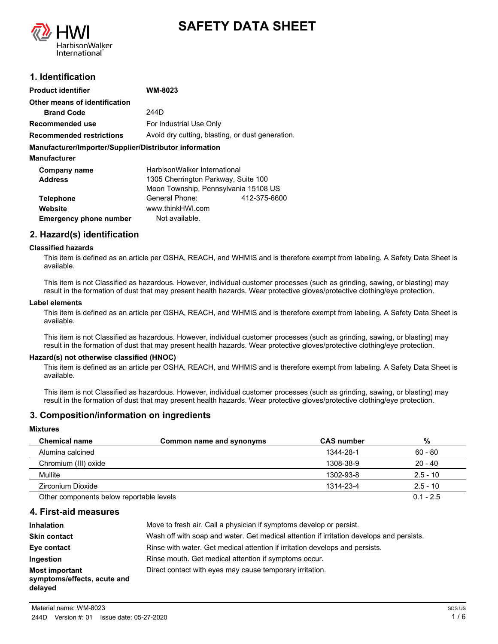



## **1. Identification**

| <b>Product identifier</b>                              | WM-8023                                          |              |
|--------------------------------------------------------|--------------------------------------------------|--------------|
| Other means of identification                          |                                                  |              |
| <b>Brand Code</b>                                      | 244D                                             |              |
| Recommended use                                        | For Industrial Use Only                          |              |
| <b>Recommended restrictions</b>                        | Avoid dry cutting, blasting, or dust generation. |              |
| Manufacturer/Importer/Supplier/Distributor information |                                                  |              |
| <b>Manufacturer</b>                                    |                                                  |              |
| Company name                                           | HarbisonWalker International                     |              |
| <b>Address</b>                                         | 1305 Cherrington Parkway, Suite 100              |              |
|                                                        | Moon Township, Pennsylvania 15108 US             |              |
| <b>Telephone</b>                                       | General Phone:                                   | 412-375-6600 |
| Website                                                | www.thinkHWI.com                                 |              |
| <b>Emergency phone number</b>                          | Not available.                                   |              |

## **2. Hazard(s) identification**

#### **Classified hazards**

This item is defined as an article per OSHA, REACH, and WHMIS and is therefore exempt from labeling. A Safety Data Sheet is available.

This item is not Classified as hazardous. However, individual customer processes (such as grinding, sawing, or blasting) may result in the formation of dust that may present health hazards. Wear protective gloves/protective clothing/eye protection.

#### **Label elements**

This item is defined as an article per OSHA, REACH, and WHMIS and is therefore exempt from labeling. A Safety Data Sheet is available.

This item is not Classified as hazardous. However, individual customer processes (such as grinding, sawing, or blasting) may result in the formation of dust that may present health hazards. Wear protective gloves/protective clothing/eye protection.

#### **Hazard(s) not otherwise classified (HNOC)**

This item is defined as an article per OSHA, REACH, and WHMIS and is therefore exempt from labeling. A Safety Data Sheet is available.

This item is not Classified as hazardous. However, individual customer processes (such as grinding, sawing, or blasting) may result in the formation of dust that may present health hazards. Wear protective gloves/protective clothing/eye protection.

## **3. Composition/information on ingredients**

#### **Mixtures**

| <b>Chemical name</b>                     | Common name and synonyms | <b>CAS number</b> | %           |
|------------------------------------------|--------------------------|-------------------|-------------|
| Alumina calcined                         |                          | 1344-28-1         | $60 - 80$   |
| Chromium (III) oxide                     |                          | 1308-38-9         | $20 - 40$   |
| Mullite                                  |                          | 1302-93-8         | $2.5 - 10$  |
| Zirconium Dioxide                        |                          | 1314-23-4         | $2.5 - 10$  |
| Other components below reportable levels |                          |                   | $0.1 - 2.5$ |

**4. First-aid measures**

| <b>Inhalation</b>                                               | Move to fresh air. Call a physician if symptoms develop or persist.                      |
|-----------------------------------------------------------------|------------------------------------------------------------------------------------------|
| <b>Skin contact</b>                                             | Wash off with soap and water. Get medical attention if irritation develops and persists. |
| Eye contact                                                     | Rinse with water. Get medical attention if irritation develops and persists.             |
| <b>Ingestion</b>                                                | Rinse mouth. Get medical attention if symptoms occur.                                    |
| <b>Most important</b><br>symptoms/effects, acute and<br>delayed | Direct contact with eyes may cause temporary irritation.                                 |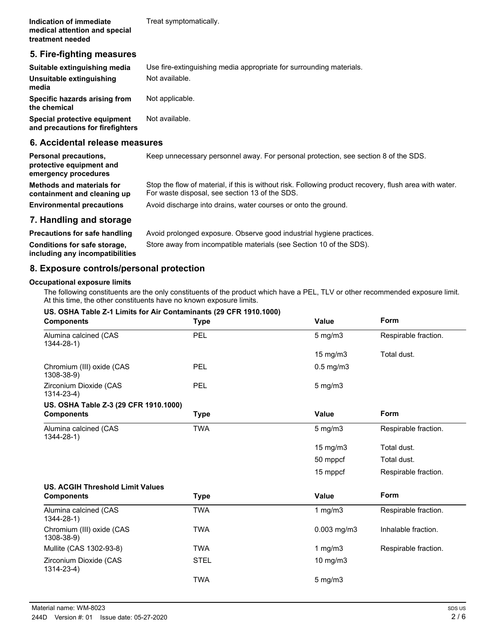## **5. Fire-fighting measures**

| Suitable extinguishing media                                     | Use fire-extinguishing media appropriate for surrounding materials. |
|------------------------------------------------------------------|---------------------------------------------------------------------|
| Unsuitable extinguishing<br>media                                | Not available.                                                      |
| Specific hazards arising from<br>the chemical                    | Not applicable.                                                     |
| Special protective equipment<br>and precautions for firefighters | Not available.                                                      |

## **6. Accidental release measures**

| <b>Personal precautions,</b><br>protective equipment and<br>emergency procedures | Keep unnecessary personnel away. For personal protection, see section 8 of the SDS.                                                                      |
|----------------------------------------------------------------------------------|----------------------------------------------------------------------------------------------------------------------------------------------------------|
| <b>Methods and materials for</b><br>containment and cleaning up                  | Stop the flow of material, if this is without risk. Following product recovery, flush area with water.<br>For waste disposal, see section 13 of the SDS. |
| <b>Environmental precautions</b>                                                 | Avoid discharge into drains, water courses or onto the ground.                                                                                           |
| 7. Handling and storage                                                          |                                                                                                                                                          |
| <b>Precautions for safe handling</b>                                             | Avoid prolonged exposure. Observe good industrial hygiene practices.                                                                                     |
|                                                                                  |                                                                                                                                                          |

**including any incompatibilities**

**Conditions for safe storage,** Store away from incompatible materials (see Section 10 of the SDS).

## **8. Exposure controls/personal protection**

#### **Occupational exposure limits**

The following constituents are the only constituents of the product which have a PEL, TLV or other recommended exposure limit. At this time, the other constituents have no known exposure limits.

#### **US. OSHA Table Z-1 Limits for Air Contaminants (29 CFR 1910.1000)**

| <b>Components</b>                           | <b>Type</b> | <b>Value</b>      | <b>Form</b>          |
|---------------------------------------------|-------------|-------------------|----------------------|
| Alumina calcined (CAS<br>$1344 - 28 - 1$    | PEL         | $5 \text{ mg/m}$  | Respirable fraction. |
|                                             |             | $15 \text{ mg/m}$ | Total dust.          |
| Chromium (III) oxide (CAS<br>1308-38-9)     | PEL         | $0.5$ mg/m $3$    |                      |
| Zirconium Dioxide (CAS<br>$1314 - 23 - 4$ ) | PEL         | $5 \text{ mg/m}$  |                      |
| US. OSHA Table Z-3 (29 CFR 1910.1000)       |             |                   |                      |
| <b>Components</b>                           | <b>Type</b> | Value             | Form                 |
| Alumina calcined (CAS<br>$1344 - 28 - 1$    | <b>TWA</b>  | $5$ mg/m $3$      | Respirable fraction. |
|                                             |             | 15 mg/m3          | Total dust.          |
|                                             |             | 50 mppcf          | Total dust.          |
|                                             |             | 15 mppcf          | Respirable fraction. |
| <b>US. ACGIH Threshold Limit Values</b>     |             |                   |                      |
| <b>Components</b>                           | <b>Type</b> | <b>Value</b>      | Form                 |
| Alumina calcined (CAS<br>$1344 - 28 - 1$    | <b>TWA</b>  | 1 $mg/m3$         | Respirable fraction. |
| Chromium (III) oxide (CAS<br>1308-38-9)     | <b>TWA</b>  | $0.003$ mg/m $3$  | Inhalable fraction.  |
| Mullite (CAS 1302-93-8)                     | <b>TWA</b>  | 1 $mg/m3$         | Respirable fraction. |
| Zirconium Dioxide (CAS<br>$1314 - 23 - 4$ ) | <b>STEL</b> | 10 mg/m3          |                      |
|                                             | <b>TWA</b>  | $5 \text{ mg/m}$  |                      |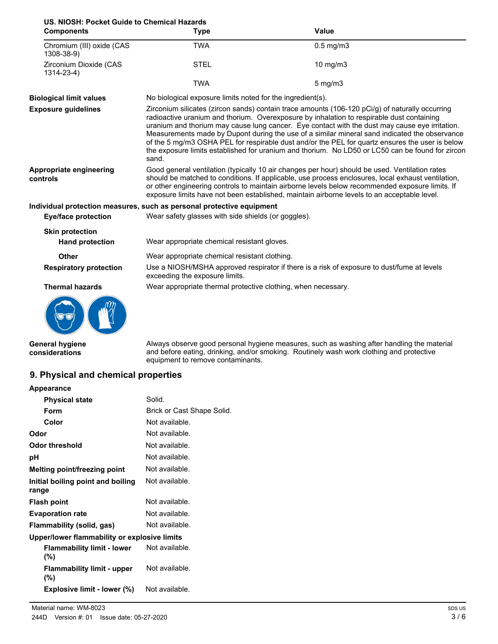# **US. NIOSH: Pocket Guide to Chemical Hazards**

| <b>Components</b>                         | <b>Type</b>                                                                                                                                                                                                                                                                                                                                                                                                                                                                                                                                                                                                     | <b>Value</b>                                                                               |  |
|-------------------------------------------|-----------------------------------------------------------------------------------------------------------------------------------------------------------------------------------------------------------------------------------------------------------------------------------------------------------------------------------------------------------------------------------------------------------------------------------------------------------------------------------------------------------------------------------------------------------------------------------------------------------------|--------------------------------------------------------------------------------------------|--|
| Chromium (III) oxide (CAS<br>1308-38-9)   | <b>TWA</b>                                                                                                                                                                                                                                                                                                                                                                                                                                                                                                                                                                                                      | $0.5$ mg/m $3$                                                                             |  |
| Zirconium Dioxide (CAS<br>$1314 - 23 - 4$ | <b>STEL</b>                                                                                                                                                                                                                                                                                                                                                                                                                                                                                                                                                                                                     | 10 mg/m3                                                                                   |  |
|                                           | <b>TWA</b>                                                                                                                                                                                                                                                                                                                                                                                                                                                                                                                                                                                                      | $5$ mg/m $3$                                                                               |  |
| <b>Biological limit values</b>            |                                                                                                                                                                                                                                                                                                                                                                                                                                                                                                                                                                                                                 | No biological exposure limits noted for the ingredient(s).                                 |  |
| <b>Exposure guidelines</b>                | Zirconium silicates (zircon sands) contain trace amounts (106-120 pCi/g) of naturally occurring<br>radioactive uranium and thorium. Overexposure by inhalation to respirable dust containing<br>uranium and thorium may cause lung cancer. Eye contact with the dust may cause eye irritation.<br>Measurements made by Dupont during the use of a similar mineral sand indicated the observance<br>of the 5 mg/m3 OSHA PEL for respirable dust and/or the PEL for quartz ensures the user is below<br>the exposure limits established for uranium and thorium. No LD50 or LC50 can be found for zircon<br>sand. |                                                                                            |  |
| Appropriate engineering<br>controls       | Good general ventilation (typically 10 air changes per hour) should be used. Ventilation rates<br>should be matched to conditions. If applicable, use process enclosures, local exhaust ventilation,<br>or other engineering controls to maintain airborne levels below recommended exposure limits. If<br>exposure limits have not been established, maintain airborne levels to an acceptable level.                                                                                                                                                                                                          |                                                                                            |  |
|                                           | Individual protection measures, such as personal protective equipment                                                                                                                                                                                                                                                                                                                                                                                                                                                                                                                                           |                                                                                            |  |
| <b>Eye/face protection</b>                | Wear safety glasses with side shields (or goggles).                                                                                                                                                                                                                                                                                                                                                                                                                                                                                                                                                             |                                                                                            |  |
| <b>Skin protection</b>                    |                                                                                                                                                                                                                                                                                                                                                                                                                                                                                                                                                                                                                 |                                                                                            |  |
| <b>Hand protection</b>                    | Wear appropriate chemical resistant gloves.                                                                                                                                                                                                                                                                                                                                                                                                                                                                                                                                                                     |                                                                                            |  |
| <b>Other</b>                              | Wear appropriate chemical resistant clothing.                                                                                                                                                                                                                                                                                                                                                                                                                                                                                                                                                                   |                                                                                            |  |
| <b>Respiratory protection</b>             | exceeding the exposure limits.                                                                                                                                                                                                                                                                                                                                                                                                                                                                                                                                                                                  | Use a NIOSH/MSHA approved respirator if there is a risk of exposure to dust/fume at levels |  |
| <b>Thermal hazards</b>                    | Wear appropriate thermal protective clothing, when necessary.                                                                                                                                                                                                                                                                                                                                                                                                                                                                                                                                                   |                                                                                            |  |
|                                           |                                                                                                                                                                                                                                                                                                                                                                                                                                                                                                                                                                                                                 |                                                                                            |  |

**General hygiene considerations**

Always observe good personal hygiene measures, such as washing after handling the material and before eating, drinking, and/or smoking. Routinely wash work clothing and protective equipment to remove contaminants.

## **9. Physical and chemical properties**

| Solid.                                       |
|----------------------------------------------|
| Brick or Cast Shape Solid.                   |
| Not available.                               |
| Not available.                               |
| Not available.                               |
| Not available.                               |
| Not available.                               |
| Not available.                               |
| Not available.                               |
| Not available.                               |
| Not available.                               |
| Upper/lower flammability or explosive limits |
| Not available.                               |
| Not available.                               |
| Not available.                               |
|                                              |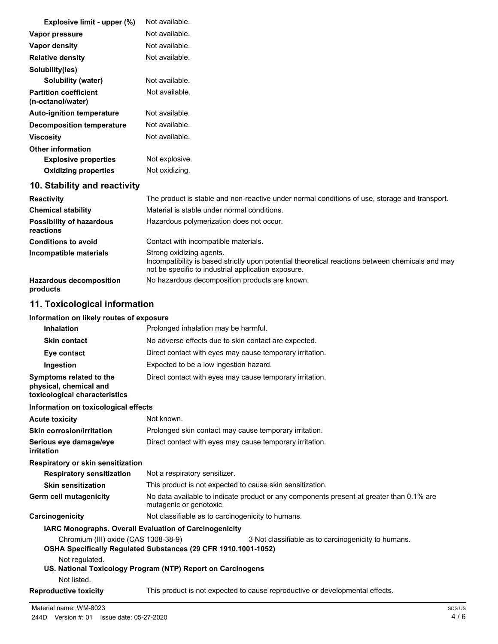| Explosive limit - upper (%)                                                        | Not available.                                                                                                                                                                      |
|------------------------------------------------------------------------------------|-------------------------------------------------------------------------------------------------------------------------------------------------------------------------------------|
| Vapor pressure                                                                     | Not available.                                                                                                                                                                      |
| <b>Vapor density</b>                                                               | Not available.                                                                                                                                                                      |
| <b>Relative density</b>                                                            | Not available.                                                                                                                                                                      |
| Solubility(ies)                                                                    |                                                                                                                                                                                     |
| Solubility (water)                                                                 | Not available.                                                                                                                                                                      |
| <b>Partition coefficient</b><br>(n-octanol/water)                                  | Not available.                                                                                                                                                                      |
| <b>Auto-ignition temperature</b>                                                   | Not available.                                                                                                                                                                      |
| <b>Decomposition temperature</b>                                                   | Not available.                                                                                                                                                                      |
| Viscosity                                                                          | Not available.                                                                                                                                                                      |
| <b>Other information</b>                                                           |                                                                                                                                                                                     |
| <b>Explosive properties</b>                                                        | Not explosive.                                                                                                                                                                      |
| <b>Oxidizing properties</b>                                                        | Not oxidizing.                                                                                                                                                                      |
| 10. Stability and reactivity                                                       |                                                                                                                                                                                     |
| <b>Reactivity</b>                                                                  | The product is stable and non-reactive under normal conditions of use, storage and transport.                                                                                       |
| <b>Chemical stability</b>                                                          | Material is stable under normal conditions.                                                                                                                                         |
| <b>Possibility of hazardous</b><br>reactions                                       | Hazardous polymerization does not occur.                                                                                                                                            |
| <b>Conditions to avoid</b>                                                         | Contact with incompatible materials.                                                                                                                                                |
| Incompatible materials                                                             | Strong oxidizing agents.<br>Incompatibility is based strictly upon potential theoretical reactions between chemicals and may<br>not be specific to industrial application exposure. |
| <b>Hazardous decomposition</b><br>products                                         | No hazardous decomposition products are known.                                                                                                                                      |
| 11. Toxicological information                                                      |                                                                                                                                                                                     |
| Information on likely routes of exposure                                           |                                                                                                                                                                                     |
| <b>Inhalation</b>                                                                  | Prolonged inhalation may be harmful.                                                                                                                                                |
| <b>Skin contact</b>                                                                | No adverse effects due to skin contact are expected.                                                                                                                                |
| Eye contact                                                                        | Direct contact with eyes may cause temporary irritation.                                                                                                                            |
| Ingestion                                                                          | Expected to be a low ingestion hazard.                                                                                                                                              |
| Symptoms related to the<br>physical, chemical and<br>toxicological characteristics | Direct contact with eyes may cause temporary irritation.                                                                                                                            |
| Information on toxicological effects                                               |                                                                                                                                                                                     |
| <b>Acute toxicity</b>                                                              | Not known.                                                                                                                                                                          |
| <b>Skin corrosion/irritation</b>                                                   | Prolonged skin contact may cause temporary irritation.                                                                                                                              |

| <b>UNIII CUITUSIUIIIIIIIIIIIIUI</b> I | Tholonged Sixin contact may cause temporary imitation.   |
|---------------------------------------|----------------------------------------------------------|
| Serious eye damage/eye                | Direct contact with eyes may cause temporary irritation. |
| irritation                            |                                                          |

## **Respiratory or skin sensitization**

| <b>Respiratory sensitization</b> | Not a respiratory sensitizer.                                                                                       |
|----------------------------------|---------------------------------------------------------------------------------------------------------------------|
| <b>Skin sensitization</b>        | This product is not expected to cause skin sensitization.                                                           |
| Germ cell mutagenicity           | No data available to indicate product or any components present at greater than 0.1% are<br>mutagenic or genotoxic. |
| Carcinogenicity                  | Not classifiable as to carcinogenicity to humans.                                                                   |

# **IARC Monographs. Overall Evaluation of Carcinogenicity**

Chromium (III) oxide (CAS 1308-38-9) 3 Not classifiable as to carcinogenicity to humans.

- **OSHA Specifically Regulated Substances (29 CFR 1910.1001-1052)**
	- Not regulated.

## **US. National Toxicology Program (NTP) Report on Carcinogens**

Not listed.

**Reproductive toxicity** This product is not expected to cause reproductive or developmental effects.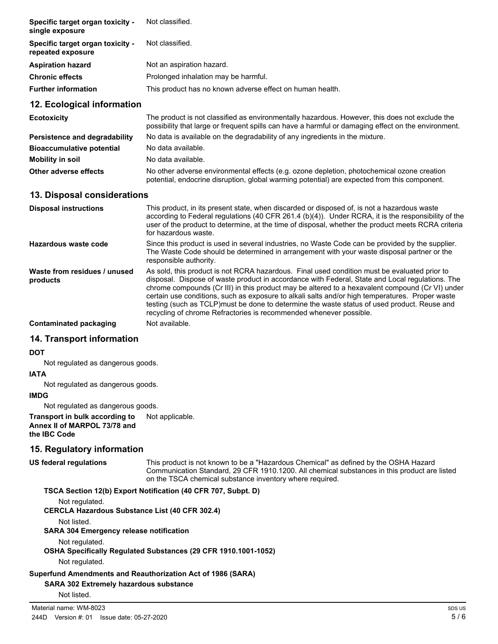| Specific target organ toxicity -<br>single exposure   | Not classified.                                           |
|-------------------------------------------------------|-----------------------------------------------------------|
| Specific target organ toxicity -<br>repeated exposure | Not classified.                                           |
| <b>Aspiration hazard</b>                              | Not an aspiration hazard.                                 |
| <b>Chronic effects</b>                                | Prolonged inhalation may be harmful.                      |
| <b>Further information</b>                            | This product has no known adverse effect on human health. |
| 12. Ecological information                            |                                                           |

| <b>Ecotoxicity</b>               | The product is not classified as environmentally hazardous. However, this does not exclude the<br>possibility that large or frequent spills can have a harmful or damaging effect on the environment. |
|----------------------------------|-------------------------------------------------------------------------------------------------------------------------------------------------------------------------------------------------------|
| Persistence and degradability    | No data is available on the degradability of any ingredients in the mixture.                                                                                                                          |
| <b>Bioaccumulative potential</b> | No data available.                                                                                                                                                                                    |
| Mobility in soil                 | No data available.                                                                                                                                                                                    |
| Other adverse effects            | No other adverse environmental effects (e.g. ozone depletion, photochemical ozone creation<br>potential, endocrine disruption, global warming potential) are expected from this component.            |

### **13. Disposal considerations**

| <b>Disposal instructions</b>             | This product, in its present state, when discarded or disposed of, is not a hazardous waste<br>according to Federal regulations (40 CFR 261.4 (b)(4)). Under RCRA, it is the responsibility of the<br>user of the product to determine, at the time of disposal, whether the product meets RCRA criteria<br>for hazardous waste.                                                                                                                                                                                                                                            |
|------------------------------------------|-----------------------------------------------------------------------------------------------------------------------------------------------------------------------------------------------------------------------------------------------------------------------------------------------------------------------------------------------------------------------------------------------------------------------------------------------------------------------------------------------------------------------------------------------------------------------------|
| Hazardous waste code                     | Since this product is used in several industries, no Waste Code can be provided by the supplier.<br>The Waste Code should be determined in arrangement with your waste disposal partner or the<br>responsible authority.                                                                                                                                                                                                                                                                                                                                                    |
| Waste from residues / unused<br>products | As sold, this product is not RCRA hazardous. Final used condition must be evaluated prior to<br>disposal. Dispose of waste product in accordance with Federal, State and Local regulations. The<br>chrome compounds (Cr III) in this product may be altered to a hexavalent compound (Cr VI) under<br>certain use conditions, such as exposure to alkali salts and/or high temperatures. Proper waste<br>testing (such as TCLP) must be done to determine the waste status of used product. Reuse and<br>recycling of chrome Refractories is recommended whenever possible. |
| <b>Contaminated packaging</b>            | Not available.                                                                                                                                                                                                                                                                                                                                                                                                                                                                                                                                                              |

#### **14. Transport information**

#### **DOT**

Not regulated as dangerous goods.

#### **IATA**

Not regulated as dangerous goods.

#### **IMDG**

Not regulated as dangerous goods.

#### **Transport in bulk according to** Not applicable. **Annex II of MARPOL 73/78 and the IBC Code**

## **15. Regulatory information**

#### **US federal regulations**

This product is not known to be a "Hazardous Chemical" as defined by the OSHA Hazard Communication Standard, 29 CFR 1910.1200. All chemical substances in this product are listed on the TSCA chemical substance inventory where required.

#### **TSCA Section 12(b) Export Notification (40 CFR 707, Subpt. D)**

Not regulated.

**CERCLA Hazardous Substance List (40 CFR 302.4)**

Not listed.

#### **SARA 304 Emergency release notification**

Not regulated.

#### **OSHA Specifically Regulated Substances (29 CFR 1910.1001-1052)**

Not regulated.

#### **Superfund Amendments and Reauthorization Act of 1986 (SARA)**

#### **SARA 302 Extremely hazardous substance**

Not listed.